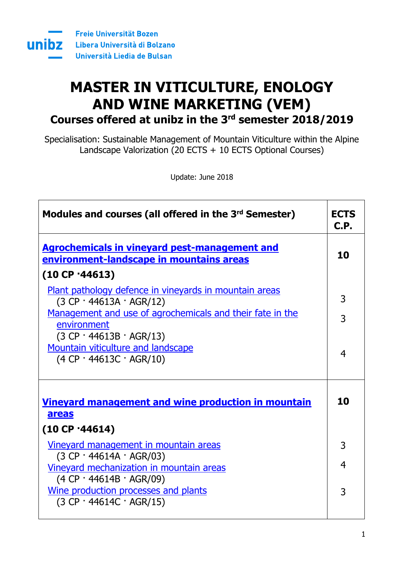

# **MASTER IN VITICULTURE, ENOLOGY AND WINE MARKETING (VEM) Courses offered at unibz in the 3 rd semester 2018/2019**

Specialisation: Sustainable Management of Mountain Viticulture within the Alpine Landscape Valorization (20 ECTS  $+$  10 ECTS Optional Courses)

Update: June 2018

| Modules and courses (all offered in the 3 <sup>rd</sup> Semester)                                                                    | <b>ECTS</b><br>C.P. |
|--------------------------------------------------------------------------------------------------------------------------------------|---------------------|
| <b>Agrochemicals in vineyard pest-management and</b><br>environment-landscape in mountains areas                                     | 10                  |
| (10 CP 44613)                                                                                                                        |                     |
| Plant pathology defence in vineyards in mountain areas<br>$(3 CP \cdot 44613A \cdot AGR/12)$                                         | 3                   |
| Management and use of agrochemicals and their fate in the                                                                            | 3                   |
| environment<br>$(3 CP \cdot 44613B \cdot AGR/13)$<br><b>Mountain viticulture and landscape</b><br>$(4 CP \cdot 44613C \cdot AGR/10)$ | 4                   |
| <u>Vineyard management and wine production in mountain</u><br>areas<br>(10 CP 44614)                                                 | 10                  |
| Vineyard management in mountain areas                                                                                                | 3                   |
| $(3 CP \cdot 44614A \cdot AGR/03)$<br>Vineyard mechanization in mountain areas<br>$(4 CP \cdot 44614B \cdot AGR/09)$                 | 4                   |
| Wine production processes and plants<br>$(3 CP \cdot 44614C \cdot AGR/15)$                                                           | 3                   |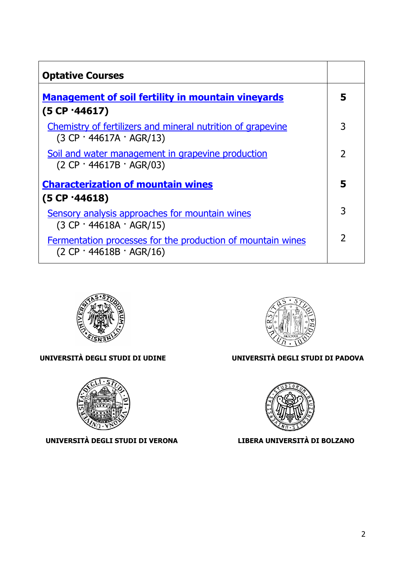| <b>Optative Courses</b>                                                                           |                |
|---------------------------------------------------------------------------------------------------|----------------|
| <b>Management of soil fertility in mountain vineyards</b>                                         | 5              |
| (5 CP·44617)                                                                                      |                |
| Chemistry of fertilizers and mineral nutrition of grapevine<br>$(3 CP \cdot 44617A \cdot AGR/13)$ | 3              |
| Soil and water management in grapevine production<br>$(2 CP \cdot 44617B \cdot AGR/03)$           | $\overline{2}$ |
| <b>Characterization of mountain wines</b><br>(5 CP 44618)                                         |                |
| Sensory analysis approaches for mountain wines<br>$(3 CP \cdot 44618A \cdot AGR/15)$              | 3              |
| Fermentation processes for the production of mountain wines<br>$(2 CP \cdot 44618B \cdot AGR/16)$ | $\overline{2}$ |





**UNIVERSITÀ DEGLI STUDI DI VERONA LIBERA UNIVERSITÀ DI BOLZANO**



#### **UNIVERSITÀ DEGLI STUDI DI UDINE UNIVERSITÀ DEGLI STUDI DI PADOVA**

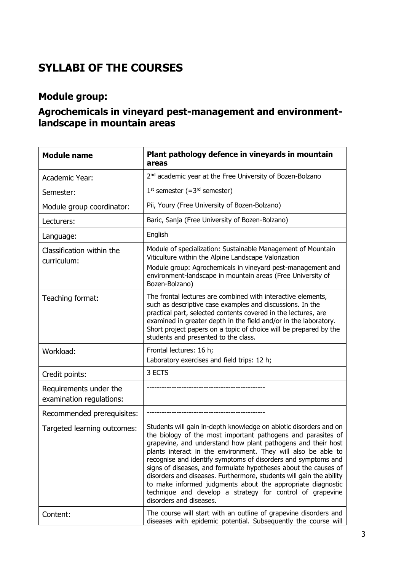# **SYLLABI OF THE COURSES**

### **Module group:**

#### <span id="page-2-0"></span>**Agrochemicals in vineyard pest-management and environmentlandscape in mountain areas**

<span id="page-2-1"></span>

| <b>Module name</b>                                 | Plant pathology defence in vineyards in mountain<br>areas                                                                                                                                                                                                                                                                                                                                                                                                                                                                                                                                                                            |
|----------------------------------------------------|--------------------------------------------------------------------------------------------------------------------------------------------------------------------------------------------------------------------------------------------------------------------------------------------------------------------------------------------------------------------------------------------------------------------------------------------------------------------------------------------------------------------------------------------------------------------------------------------------------------------------------------|
| Academic Year:                                     | 2 <sup>nd</sup> academic year at the Free University of Bozen-Bolzano                                                                                                                                                                                                                                                                                                                                                                                                                                                                                                                                                                |
| Semester:                                          | $1st$ semester (= $3rd$ semester)                                                                                                                                                                                                                                                                                                                                                                                                                                                                                                                                                                                                    |
| Module group coordinator:                          | Pii, Youry (Free University of Bozen-Bolzano)                                                                                                                                                                                                                                                                                                                                                                                                                                                                                                                                                                                        |
| Lecturers:                                         | Baric, Sanja (Free University of Bozen-Bolzano)                                                                                                                                                                                                                                                                                                                                                                                                                                                                                                                                                                                      |
| Language:                                          | English                                                                                                                                                                                                                                                                                                                                                                                                                                                                                                                                                                                                                              |
| Classification within the<br>curriculum:           | Module of specialization: Sustainable Management of Mountain<br>Viticulture within the Alpine Landscape Valorization<br>Module group: Agrochemicals in vineyard pest-management and<br>environment-landscape in mountain areas (Free University of<br>Bozen-Bolzano)                                                                                                                                                                                                                                                                                                                                                                 |
| Teaching format:                                   | The frontal lectures are combined with interactive elements,<br>such as descriptive case examples and discussions. In the<br>practical part, selected contents covered in the lectures, are<br>examined in greater depth in the field and/or in the laboratory.<br>Short project papers on a topic of choice will be prepared by the<br>students and presented to the class.                                                                                                                                                                                                                                                         |
| Workload:                                          | Frontal lectures: 16 h;<br>Laboratory exercises and field trips: 12 h;                                                                                                                                                                                                                                                                                                                                                                                                                                                                                                                                                               |
| Credit points:                                     | 3 ECTS                                                                                                                                                                                                                                                                                                                                                                                                                                                                                                                                                                                                                               |
| Requirements under the<br>examination regulations: |                                                                                                                                                                                                                                                                                                                                                                                                                                                                                                                                                                                                                                      |
| Recommended prerequisites:                         |                                                                                                                                                                                                                                                                                                                                                                                                                                                                                                                                                                                                                                      |
| Targeted learning outcomes:                        | Students will gain in-depth knowledge on abiotic disorders and on<br>the biology of the most important pathogens and parasites of<br>grapevine, and understand how plant pathogens and their host<br>plants interact in the environment. They will also be able to<br>recognise and identify symptoms of disorders and symptoms and<br>signs of diseases, and formulate hypotheses about the causes of<br>disorders and diseases. Furthermore, students will gain the ability<br>to make informed judgments about the appropriate diagnostic<br>technique and develop a strategy for control of grapevine<br>disorders and diseases. |
| Content:                                           | The course will start with an outline of grapevine disorders and<br>diseases with epidemic potential. Subsequently the course will                                                                                                                                                                                                                                                                                                                                                                                                                                                                                                   |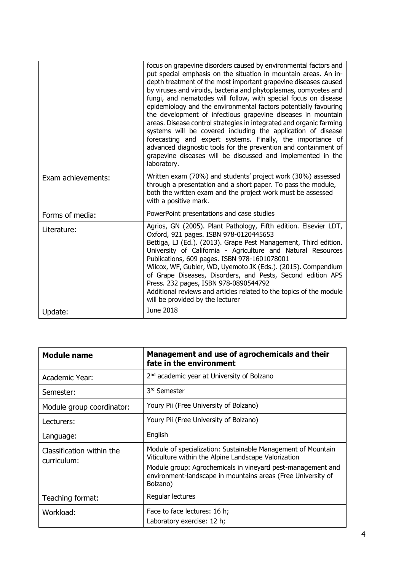|                    | focus on grapevine disorders caused by environmental factors and<br>put special emphasis on the situation in mountain areas. An in-<br>depth treatment of the most important grapevine diseases caused<br>by viruses and viroids, bacteria and phytoplasmas, oomycetes and<br>fungi, and nematodes will follow, with special focus on disease<br>epidemiology and the environmental factors potentially favouring<br>the development of infectious grapevine diseases in mountain<br>areas. Disease control strategies in integrated and organic farming<br>systems will be covered including the application of disease<br>forecasting and expert systems. Finally, the importance of<br>advanced diagnostic tools for the prevention and containment of<br>grapevine diseases will be discussed and implemented in the<br>laboratory. |
|--------------------|-----------------------------------------------------------------------------------------------------------------------------------------------------------------------------------------------------------------------------------------------------------------------------------------------------------------------------------------------------------------------------------------------------------------------------------------------------------------------------------------------------------------------------------------------------------------------------------------------------------------------------------------------------------------------------------------------------------------------------------------------------------------------------------------------------------------------------------------|
| Exam achievements: | Written exam (70%) and students' project work (30%) assessed<br>through a presentation and a short paper. To pass the module,<br>both the written exam and the project work must be assessed<br>with a positive mark.                                                                                                                                                                                                                                                                                                                                                                                                                                                                                                                                                                                                                   |
| Forms of media:    | PowerPoint presentations and case studies                                                                                                                                                                                                                                                                                                                                                                                                                                                                                                                                                                                                                                                                                                                                                                                               |
| Literature:        | Agrios, GN (2005). Plant Pathology, Fifth edition. Elsevier LDT,<br>Oxford, 921 pages. ISBN 978-0120445653<br>Bettiga, LJ (Ed.). (2013). Grape Pest Management, Third edition.<br>University of California - Agriculture and Natural Resources<br>Publications, 609 pages. ISBN 978-1601078001<br>Wilcox, WF, Gubler, WD, Uyemoto JK (Eds.). (2015). Compendium<br>of Grape Diseases, Disorders, and Pests, Second edition APS<br>Press. 232 pages, ISBN 978-0890544792<br>Additional reviews and articles related to the topics of the module<br>will be provided by the lecturer                                                                                                                                                                                                                                                      |
| Update:            | June 2018                                                                                                                                                                                                                                                                                                                                                                                                                                                                                                                                                                                                                                                                                                                                                                                                                               |

<span id="page-3-0"></span>

| <b>Module name</b>                       | Management and use of agrochemicals and their<br>fate in the environment                                                                                                                                                                                        |
|------------------------------------------|-----------------------------------------------------------------------------------------------------------------------------------------------------------------------------------------------------------------------------------------------------------------|
| Academic Year:                           | 2 <sup>nd</sup> academic year at University of Bolzano                                                                                                                                                                                                          |
| Semester:                                | 3rd Semester                                                                                                                                                                                                                                                    |
| Module group coordinator:                | Youry Pii (Free University of Bolzano)                                                                                                                                                                                                                          |
| Lecturers:                               | Youry Pii (Free University of Bolzano)                                                                                                                                                                                                                          |
| Language:                                | English                                                                                                                                                                                                                                                         |
| Classification within the<br>curriculum: | Module of specialization: Sustainable Management of Mountain<br>Viticulture within the Alpine Landscape Valorization<br>Module group: Agrochemicals in vineyard pest-management and<br>environment-landscape in mountains areas (Free University of<br>Bolzano) |
| Teaching format:                         | Regular lectures                                                                                                                                                                                                                                                |
| Workload:                                | Face to face lectures: 16 h;<br>Laboratory exercise: 12 h;                                                                                                                                                                                                      |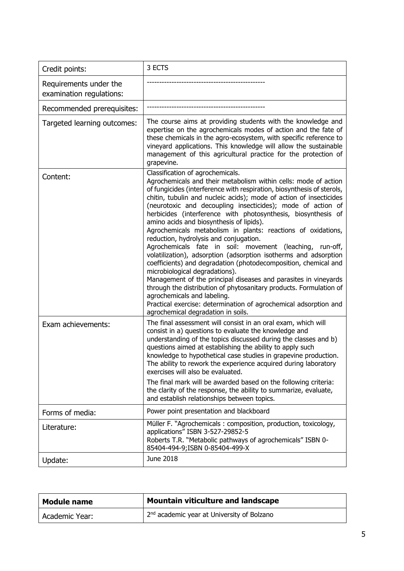| Credit points:                                     | 3 ECTS                                                                                                                                                                                                                                                                                                                                                                                                                                                                                                                                                                                                                                                                                                                                                                                                                                                                                                                                                                                                                                                           |
|----------------------------------------------------|------------------------------------------------------------------------------------------------------------------------------------------------------------------------------------------------------------------------------------------------------------------------------------------------------------------------------------------------------------------------------------------------------------------------------------------------------------------------------------------------------------------------------------------------------------------------------------------------------------------------------------------------------------------------------------------------------------------------------------------------------------------------------------------------------------------------------------------------------------------------------------------------------------------------------------------------------------------------------------------------------------------------------------------------------------------|
| Requirements under the<br>examination regulations: |                                                                                                                                                                                                                                                                                                                                                                                                                                                                                                                                                                                                                                                                                                                                                                                                                                                                                                                                                                                                                                                                  |
| Recommended prerequisites:                         |                                                                                                                                                                                                                                                                                                                                                                                                                                                                                                                                                                                                                                                                                                                                                                                                                                                                                                                                                                                                                                                                  |
| Targeted learning outcomes:                        | The course aims at providing students with the knowledge and<br>expertise on the agrochemicals modes of action and the fate of<br>these chemicals in the agro-ecosystem, with specific reference to<br>vineyard applications. This knowledge will allow the sustainable<br>management of this agricultural practice for the protection of<br>grapevine.                                                                                                                                                                                                                                                                                                                                                                                                                                                                                                                                                                                                                                                                                                          |
| Content:                                           | Classification of agrochemicals.<br>Agrochemicals and their metabolism within cells: mode of action<br>of fungicides (interference with respiration, biosynthesis of sterols,<br>chitin, tubulin and nucleic acids); mode of action of insecticides<br>(neurotoxic and decoupling insecticides); mode of action of<br>herbicides (interference with photosynthesis, biosynthesis of<br>amino acids and biosynthesis of lipids).<br>Agrochemicals metabolism in plants: reactions of oxidations,<br>reduction, hydrolysis and conjugation.<br>Agrochemicals fate in soil: movement (leaching, run-off,<br>volatilization), adsorption (adsorption isotherms and adsorption<br>coefficients) and degradation (photodecomposition, chemical and<br>microbiological degradations).<br>Management of the principal diseases and parasites in vineyards<br>through the distribution of phytosanitary products. Formulation of<br>agrochemicals and labeling.<br>Practical exercise: determination of agrochemical adsorption and<br>agrochemical degradation in soils. |
| Exam achievements:                                 | The final assessment will consist in an oral exam, which will<br>consist in a) questions to evaluate the knowledge and<br>understanding of the topics discussed during the classes and b)<br>questions aimed at establishing the ability to apply such<br>knowledge to hypothetical case studies in grapevine production.<br>The ability to rework the experience acquired during laboratory<br>exercises will also be evaluated.<br>The final mark will be awarded based on the following criteria:<br>the clarity of the response, the ability to summarize, evaluate,<br>and establish relationships between topics.                                                                                                                                                                                                                                                                                                                                                                                                                                          |
| Forms of media:                                    | Power point presentation and blackboard                                                                                                                                                                                                                                                                                                                                                                                                                                                                                                                                                                                                                                                                                                                                                                                                                                                                                                                                                                                                                          |
| Literature:                                        | Müller F. "Agrochemicals: composition, production, toxicology,<br>applications" ISBN 3-527-29852-5<br>Roberts T.R. "Metabolic pathways of agrochemicals" ISBN 0-<br>85404-494-9; ISBN 0-85404-499-X                                                                                                                                                                                                                                                                                                                                                                                                                                                                                                                                                                                                                                                                                                                                                                                                                                                              |
| Update:                                            | June 2018                                                                                                                                                                                                                                                                                                                                                                                                                                                                                                                                                                                                                                                                                                                                                                                                                                                                                                                                                                                                                                                        |

<span id="page-4-0"></span>

| <b>Module name</b> | <b>Mountain viticulture and landscape</b>              |
|--------------------|--------------------------------------------------------|
| Academic Year:     | 2 <sup>nd</sup> academic year at University of Bolzano |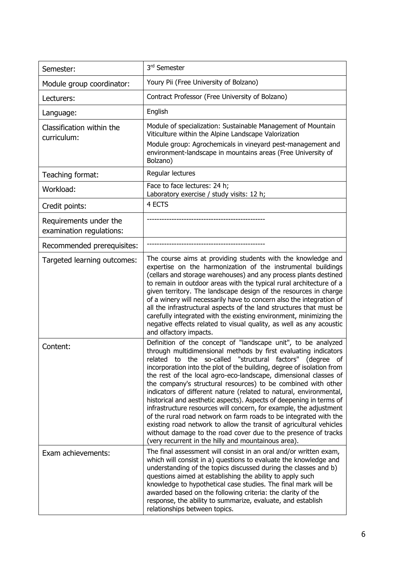| Semester:                                          | 3rd Semester                                                                                                                                                                                                                                                                                                                                                                                                                                                                                                                                                                                                                                                                                                                                                                                                                                                                                       |
|----------------------------------------------------|----------------------------------------------------------------------------------------------------------------------------------------------------------------------------------------------------------------------------------------------------------------------------------------------------------------------------------------------------------------------------------------------------------------------------------------------------------------------------------------------------------------------------------------------------------------------------------------------------------------------------------------------------------------------------------------------------------------------------------------------------------------------------------------------------------------------------------------------------------------------------------------------------|
| Module group coordinator:                          | Youry Pii (Free University of Bolzano)                                                                                                                                                                                                                                                                                                                                                                                                                                                                                                                                                                                                                                                                                                                                                                                                                                                             |
| Lecturers:                                         | Contract Professor (Free University of Bolzano)                                                                                                                                                                                                                                                                                                                                                                                                                                                                                                                                                                                                                                                                                                                                                                                                                                                    |
| Language:                                          | English                                                                                                                                                                                                                                                                                                                                                                                                                                                                                                                                                                                                                                                                                                                                                                                                                                                                                            |
| Classification within the<br>curriculum:           | Module of specialization: Sustainable Management of Mountain<br>Viticulture within the Alpine Landscape Valorization<br>Module group: Agrochemicals in vineyard pest-management and<br>environment-landscape in mountains areas (Free University of<br>Bolzano)                                                                                                                                                                                                                                                                                                                                                                                                                                                                                                                                                                                                                                    |
| Teaching format:                                   | Regular lectures                                                                                                                                                                                                                                                                                                                                                                                                                                                                                                                                                                                                                                                                                                                                                                                                                                                                                   |
| Workload:                                          | Face to face lectures: 24 h;<br>Laboratory exercise / study visits: 12 h;                                                                                                                                                                                                                                                                                                                                                                                                                                                                                                                                                                                                                                                                                                                                                                                                                          |
| Credit points:                                     | 4 ECTS                                                                                                                                                                                                                                                                                                                                                                                                                                                                                                                                                                                                                                                                                                                                                                                                                                                                                             |
| Requirements under the<br>examination regulations: |                                                                                                                                                                                                                                                                                                                                                                                                                                                                                                                                                                                                                                                                                                                                                                                                                                                                                                    |
| Recommended prerequisites:                         |                                                                                                                                                                                                                                                                                                                                                                                                                                                                                                                                                                                                                                                                                                                                                                                                                                                                                                    |
| Targeted learning outcomes:                        | The course aims at providing students with the knowledge and<br>expertise on the harmonization of the instrumental buildings<br>(cellars and storage warehouses) and any process plants destined<br>to remain in outdoor areas with the typical rural architecture of a<br>given territory. The landscape design of the resources in charge<br>of a winery will necessarily have to concern also the integration of<br>all the infrastructural aspects of the land structures that must be<br>carefully integrated with the existing environment, minimizing the<br>negative effects related to visual quality, as well as any acoustic<br>and olfactory impacts.                                                                                                                                                                                                                                  |
| Content:                                           | Definition of the concept of "landscape unit", to be analyzed<br>through multidimensional methods by first evaluating indicators<br>related to the so-called "structural factors" (degree of<br>incorporation into the plot of the building, degree of isolation from<br>the rest of the local agro-eco-landscape, dimensional classes of<br>the company's structural resources) to be combined with other<br>indicators of different nature (related to natural, environmental,<br>historical and aesthetic aspects). Aspects of deepening in terms of<br>infrastructure resources will concern, for example, the adjustment<br>of the rural road network on farm roads to be integrated with the<br>existing road network to allow the transit of agricultural vehicles<br>without damage to the road cover due to the presence of tracks<br>(very recurrent in the hilly and mountainous area). |
| Exam achievements:                                 | The final assessment will consist in an oral and/or written exam,<br>which will consist in a) questions to evaluate the knowledge and<br>understanding of the topics discussed during the classes and b)<br>questions aimed at establishing the ability to apply such<br>knowledge to hypothetical case studies. The final mark will be<br>awarded based on the following criteria: the clarity of the<br>response, the ability to summarize, evaluate, and establish<br>relationships between topics.                                                                                                                                                                                                                                                                                                                                                                                             |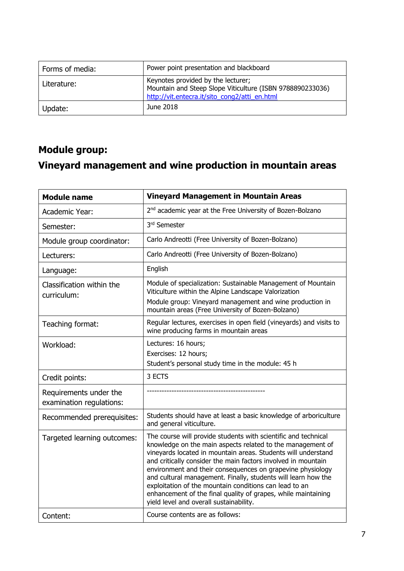| Forms of media: | Power point presentation and blackboard                                                                                                          |
|-----------------|--------------------------------------------------------------------------------------------------------------------------------------------------|
| Literature:     | Keynotes provided by the lecturer;<br>Mountain and Steep Slope Viticulture (ISBN 9788890233036)<br>http://vit.entecra.it/sito cong2/atti en.html |
| Update:         | June 2018                                                                                                                                        |

# <span id="page-6-0"></span>**Module group: Vineyard management and wine production in mountain areas**

<span id="page-6-1"></span>

| <b>Module name</b>                                 | <b>Vineyard Management in Mountain Areas</b>                                                                                                                                                                                                                                                                                                                                                                                                                                                                                                                        |
|----------------------------------------------------|---------------------------------------------------------------------------------------------------------------------------------------------------------------------------------------------------------------------------------------------------------------------------------------------------------------------------------------------------------------------------------------------------------------------------------------------------------------------------------------------------------------------------------------------------------------------|
| Academic Year:                                     | 2 <sup>nd</sup> academic year at the Free University of Bozen-Bolzano                                                                                                                                                                                                                                                                                                                                                                                                                                                                                               |
| Semester:                                          | 3rd Semester                                                                                                                                                                                                                                                                                                                                                                                                                                                                                                                                                        |
| Module group coordinator:                          | Carlo Andreotti (Free University of Bozen-Bolzano)                                                                                                                                                                                                                                                                                                                                                                                                                                                                                                                  |
| Lecturers:                                         | Carlo Andreotti (Free University of Bozen-Bolzano)                                                                                                                                                                                                                                                                                                                                                                                                                                                                                                                  |
| Language:                                          | English                                                                                                                                                                                                                                                                                                                                                                                                                                                                                                                                                             |
| Classification within the<br>curriculum:           | Module of specialization: Sustainable Management of Mountain<br>Viticulture within the Alpine Landscape Valorization                                                                                                                                                                                                                                                                                                                                                                                                                                                |
|                                                    | Module group: Vineyard management and wine production in<br>mountain areas (Free University of Bozen-Bolzano)                                                                                                                                                                                                                                                                                                                                                                                                                                                       |
| Teaching format:                                   | Regular lectures, exercises in open field (vineyards) and visits to<br>wine producing farms in mountain areas                                                                                                                                                                                                                                                                                                                                                                                                                                                       |
| Workload:                                          | Lectures: 16 hours;                                                                                                                                                                                                                                                                                                                                                                                                                                                                                                                                                 |
|                                                    | Exercises: 12 hours;<br>Student's personal study time in the module: 45 h                                                                                                                                                                                                                                                                                                                                                                                                                                                                                           |
| Credit points:                                     | 3 ECTS                                                                                                                                                                                                                                                                                                                                                                                                                                                                                                                                                              |
| Requirements under the<br>examination regulations: |                                                                                                                                                                                                                                                                                                                                                                                                                                                                                                                                                                     |
| Recommended prerequisites:                         | Students should have at least a basic knowledge of arboriculture<br>and general viticulture.                                                                                                                                                                                                                                                                                                                                                                                                                                                                        |
| Targeted learning outcomes:                        | The course will provide students with scientific and technical<br>knowledge on the main aspects related to the management of<br>vineyards located in mountain areas. Students will understand<br>and critically consider the main factors involved in mountain<br>environment and their consequences on grapevine physiology<br>and cultural management. Finally, students will learn how the<br>exploitation of the mountain conditions can lead to an<br>enhancement of the final quality of grapes, while maintaining<br>yield level and overall sustainability. |
| Content:                                           | Course contents are as follows:                                                                                                                                                                                                                                                                                                                                                                                                                                                                                                                                     |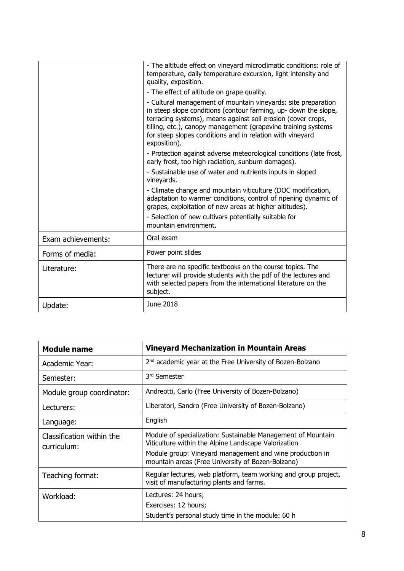|                    | - The altitude effect on vineyard microclimatic conditions: role of<br>temperature, daily temperature excursion, light intensity and<br>quality, exposition.                                                                                                                                                                                   |
|--------------------|------------------------------------------------------------------------------------------------------------------------------------------------------------------------------------------------------------------------------------------------------------------------------------------------------------------------------------------------|
|                    | - The effect of altitude on grape quality.                                                                                                                                                                                                                                                                                                     |
|                    | - Cultural management of mountain vineyards: site preparation<br>in steep slope conditions (contour farming, up- down the slope,<br>terracing systems), means against soil erosion (cover crops,<br>tilling, etc.), canopy management (grapevine training systems<br>for steep slopes conditions and in relation with vineyard<br>exposition). |
|                    | - Protection against adverse meteorological conditions (late frost,<br>early frost, too high radiation, sunburn damages).                                                                                                                                                                                                                      |
|                    | - Sustainable use of water and nutrients inputs in sloped<br>vineyards.                                                                                                                                                                                                                                                                        |
|                    | - Climate change and mountain viticulture (DOC modification,<br>adaptation to warmer conditions, control of ripening dynamic of<br>grapes, exploitation of new areas at higher altitudes).                                                                                                                                                     |
|                    | - Selection of new cultivars potentially suitable for<br>mountain environment.                                                                                                                                                                                                                                                                 |
| Exam achievements: | Oral exam                                                                                                                                                                                                                                                                                                                                      |
| Forms of media:    | Power point slides                                                                                                                                                                                                                                                                                                                             |
| Literature:        | There are no specific textbooks on the course topics. The<br>lecturer will provide students with the pdf of the lectures and<br>with selected papers from the international literature on the<br>subject.                                                                                                                                      |
| Update:            | June 2018                                                                                                                                                                                                                                                                                                                                      |

<span id="page-7-0"></span>

| <b>Module name</b>                       | <b>Vineyard Mechanization in Mountain Areas</b>                                                                                                                                                                                       |
|------------------------------------------|---------------------------------------------------------------------------------------------------------------------------------------------------------------------------------------------------------------------------------------|
| Academic Year:                           | 2 <sup>nd</sup> academic year at the Free University of Bozen-Bolzano                                                                                                                                                                 |
| Semester:                                | 3 <sup>rd</sup> Semester                                                                                                                                                                                                              |
| Module group coordinator:                | Andreotti, Carlo (Free University of Bozen-Bolzano)                                                                                                                                                                                   |
| Lecturers:                               | Liberatori, Sandro (Free University of Bozen-Bolzano)                                                                                                                                                                                 |
| Language:                                | English                                                                                                                                                                                                                               |
| Classification within the<br>curriculum: | Module of specialization: Sustainable Management of Mountain<br>Viticulture within the Alpine Landscape Valorization<br>Module group: Vineyard management and wine production in<br>mountain areas (Free University of Bozen-Bolzano) |
| Teaching format:                         | Regular lectures, web platform, team working and group project,<br>visit of manufacturing plants and farms.                                                                                                                           |
| Workload:                                | Lectures: 24 hours;<br>Exercises: 12 hours;<br>Student's personal study time in the module: 60 h                                                                                                                                      |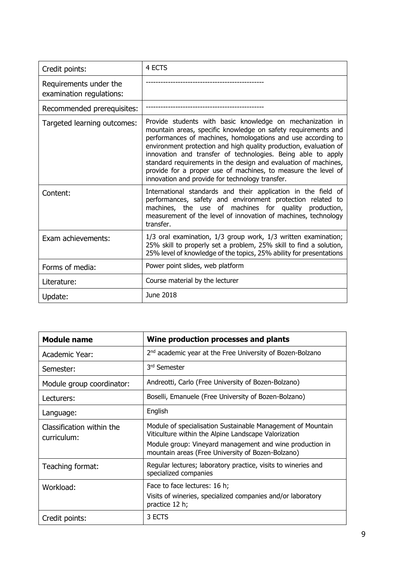| Credit points:                                     | 4 ECTS                                                                                                                                                                                                                                                                                                                                                                                                                                                                                                                 |
|----------------------------------------------------|------------------------------------------------------------------------------------------------------------------------------------------------------------------------------------------------------------------------------------------------------------------------------------------------------------------------------------------------------------------------------------------------------------------------------------------------------------------------------------------------------------------------|
| Requirements under the<br>examination regulations: |                                                                                                                                                                                                                                                                                                                                                                                                                                                                                                                        |
| Recommended prerequisites:                         |                                                                                                                                                                                                                                                                                                                                                                                                                                                                                                                        |
| Targeted learning outcomes:                        | Provide students with basic knowledge on mechanization in<br>mountain areas, specific knowledge on safety requirements and<br>performances of machines, homologations and use according to<br>environment protection and high quality production, evaluation of<br>innovation and transfer of technologies. Being able to apply<br>standard requirements in the design and evaluation of machines,<br>provide for a proper use of machines, to measure the level of<br>innovation and provide for technology transfer. |
| Content:                                           | International standards and their application in the field of<br>performances, safety and environment protection related to<br>machines, the use of machines for quality production,<br>measurement of the level of innovation of machines, technology<br>transfer.                                                                                                                                                                                                                                                    |
| Exam achievements:                                 | 1/3 oral examination, 1/3 group work, 1/3 written examination;<br>25% skill to properly set a problem, 25% skill to find a solution,<br>25% level of knowledge of the topics, 25% ability for presentations                                                                                                                                                                                                                                                                                                            |
| Forms of media:                                    | Power point slides, web platform                                                                                                                                                                                                                                                                                                                                                                                                                                                                                       |
| Literature:                                        | Course material by the lecturer                                                                                                                                                                                                                                                                                                                                                                                                                                                                                        |
| Update:                                            | June 2018                                                                                                                                                                                                                                                                                                                                                                                                                                                                                                              |

<span id="page-8-0"></span>

| <b>Module name</b>                       | Wine production processes and plants                                                                                                                                                                                                 |
|------------------------------------------|--------------------------------------------------------------------------------------------------------------------------------------------------------------------------------------------------------------------------------------|
| Academic Year:                           | 2 <sup>nd</sup> academic year at the Free University of Bozen-Bolzano                                                                                                                                                                |
| Semester:                                | 3 <sup>rd</sup> Semester                                                                                                                                                                                                             |
| Module group coordinator:                | Andreotti, Carlo (Free University of Bozen-Bolzano)                                                                                                                                                                                  |
| Lecturers:                               | Boselli, Emanuele (Free University of Bozen-Bolzano)                                                                                                                                                                                 |
| Language:                                | English                                                                                                                                                                                                                              |
| Classification within the<br>curriculum: | Module of specialisation Sustainable Management of Mountain<br>Viticulture within the Alpine Landscape Valorization<br>Module group: Vineyard management and wine production in<br>mountain areas (Free University of Bozen-Bolzano) |
| Teaching format:                         | Regular lectures; laboratory practice, visits to wineries and<br>specialized companies                                                                                                                                               |
| Workload:                                | Face to face lectures: 16 h;<br>Visits of wineries, specialized companies and/or laboratory<br>practice 12 h;                                                                                                                        |
| Credit points:                           | 3 ECTS                                                                                                                                                                                                                               |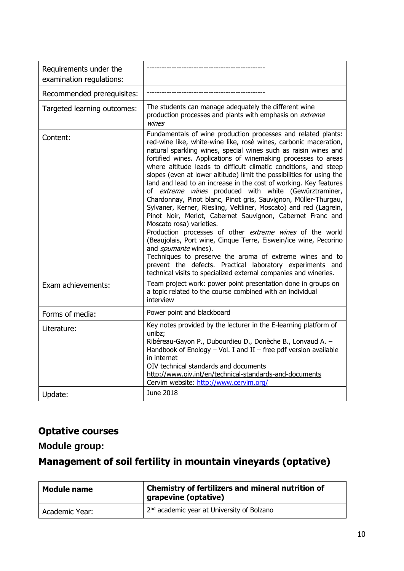| Requirements under the<br>examination regulations: |                                                                                                                                                                                                                                                                                                                                                                                                                                                                                                                                                                                                                                                                                                                                                                                                                                                                                                                                                                                                                                                                                                                                                 |
|----------------------------------------------------|-------------------------------------------------------------------------------------------------------------------------------------------------------------------------------------------------------------------------------------------------------------------------------------------------------------------------------------------------------------------------------------------------------------------------------------------------------------------------------------------------------------------------------------------------------------------------------------------------------------------------------------------------------------------------------------------------------------------------------------------------------------------------------------------------------------------------------------------------------------------------------------------------------------------------------------------------------------------------------------------------------------------------------------------------------------------------------------------------------------------------------------------------|
| Recommended prerequisites:                         |                                                                                                                                                                                                                                                                                                                                                                                                                                                                                                                                                                                                                                                                                                                                                                                                                                                                                                                                                                                                                                                                                                                                                 |
| Targeted learning outcomes:                        | The students can manage adequately the different wine<br>production processes and plants with emphasis on extreme<br>wines                                                                                                                                                                                                                                                                                                                                                                                                                                                                                                                                                                                                                                                                                                                                                                                                                                                                                                                                                                                                                      |
| Content:                                           | Fundamentals of wine production processes and related plants:<br>red-wine like, white-wine like, rosè wines, carbonic maceration,<br>natural sparkling wines, special wines such as raisin wines and<br>fortified wines. Applications of winemaking processes to areas<br>where altitude leads to difficult climatic conditions, and steep<br>slopes (even at lower altitude) limit the possibilities for using the<br>land and lead to an increase in the cost of working. Key features<br>of extreme wines produced with white (Gewürztraminer,<br>Chardonnay, Pinot blanc, Pinot gris, Sauvignon, Müller-Thurgau,<br>Sylvaner, Kerner, Riesling, Veltliner, Moscato) and red (Lagrein,<br>Pinot Noir, Merlot, Cabernet Sauvignon, Cabernet Franc and<br>Moscato rosa) varieties.<br>Production processes of other extreme wines of the world<br>(Beaujolais, Port wine, Cinque Terre, Eiswein/ice wine, Pecorino<br>and <i>spumante</i> wines).<br>Techniques to preserve the aroma of extreme wines and to<br>prevent the defects. Practical laboratory experiments and<br>technical visits to specialized external companies and wineries. |
| Exam achievements:                                 | Team project work: power point presentation done in groups on<br>a topic related to the course combined with an individual<br>interview                                                                                                                                                                                                                                                                                                                                                                                                                                                                                                                                                                                                                                                                                                                                                                                                                                                                                                                                                                                                         |
| Forms of media:                                    | Power point and blackboard                                                                                                                                                                                                                                                                                                                                                                                                                                                                                                                                                                                                                                                                                                                                                                                                                                                                                                                                                                                                                                                                                                                      |
| Literature:                                        | Key notes provided by the lecturer in the E-learning platform of<br>unibz;<br>Ribéreau-Gayon P., Dubourdieu D., Donèche B., Lonvaud A. -<br>Handbook of Enology $-$ Vol. I and II $-$ free pdf version available<br>in internet<br>OIV technical standards and documents<br>http://www.oiv.int/en/technical-standards-and-documents<br>Cervim website: http://www.cervim.org/                                                                                                                                                                                                                                                                                                                                                                                                                                                                                                                                                                                                                                                                                                                                                                   |
| Update:                                            | June 2018                                                                                                                                                                                                                                                                                                                                                                                                                                                                                                                                                                                                                                                                                                                                                                                                                                                                                                                                                                                                                                                                                                                                       |

## **Optative courses**

### **Module group:**

## <span id="page-9-0"></span>**Management of soil fertility in mountain vineyards (optative)**

<span id="page-9-1"></span>

| <b>Module name</b> | Chemistry of fertilizers and mineral nutrition of<br>grapevine (optative) |
|--------------------|---------------------------------------------------------------------------|
| Academic Year:     | 2 <sup>nd</sup> academic year at University of Bolzano                    |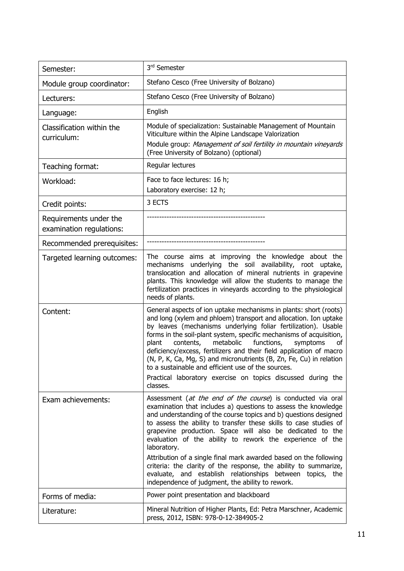| Semester:                                          | 3rd Semester                                                                                                                                                                                                                                                                                                                                                                                                                                                                                                                                                                                                                                                              |
|----------------------------------------------------|---------------------------------------------------------------------------------------------------------------------------------------------------------------------------------------------------------------------------------------------------------------------------------------------------------------------------------------------------------------------------------------------------------------------------------------------------------------------------------------------------------------------------------------------------------------------------------------------------------------------------------------------------------------------------|
| Module group coordinator:                          | Stefano Cesco (Free University of Bolzano)                                                                                                                                                                                                                                                                                                                                                                                                                                                                                                                                                                                                                                |
| Lecturers:                                         | Stefano Cesco (Free University of Bolzano)                                                                                                                                                                                                                                                                                                                                                                                                                                                                                                                                                                                                                                |
| Language:                                          | English                                                                                                                                                                                                                                                                                                                                                                                                                                                                                                                                                                                                                                                                   |
| Classification within the<br>curriculum:           | Module of specialization: Sustainable Management of Mountain<br>Viticulture within the Alpine Landscape Valorization<br>Module group: Management of soil fertility in mountain vineyards<br>(Free University of Bolzano) (optional)                                                                                                                                                                                                                                                                                                                                                                                                                                       |
| Teaching format:                                   | Regular lectures                                                                                                                                                                                                                                                                                                                                                                                                                                                                                                                                                                                                                                                          |
| Workload:                                          | Face to face lectures: 16 h;<br>Laboratory exercise: 12 h;                                                                                                                                                                                                                                                                                                                                                                                                                                                                                                                                                                                                                |
| Credit points:                                     | 3 ECTS                                                                                                                                                                                                                                                                                                                                                                                                                                                                                                                                                                                                                                                                    |
| Requirements under the<br>examination regulations: |                                                                                                                                                                                                                                                                                                                                                                                                                                                                                                                                                                                                                                                                           |
| Recommended prerequisites:                         |                                                                                                                                                                                                                                                                                                                                                                                                                                                                                                                                                                                                                                                                           |
| Targeted learning outcomes:                        | The course aims at improving the knowledge about the<br>mechanisms underlying the soil availability, root uptake,<br>translocation and allocation of mineral nutrients in grapevine<br>plants. This knowledge will allow the students to manage the<br>fertilization practices in vineyards according to the physiological<br>needs of plants.                                                                                                                                                                                                                                                                                                                            |
| Content:                                           | General aspects of ion uptake mechanisms in plants: short (roots)<br>and long (xylem and phloem) transport and allocation. Ion uptake<br>by leaves (mechanisms underlying foliar fertilization). Usable<br>forms in the soil-plant system, specific mechanisms of acquisition,<br>metabolic<br>functions,<br>plant<br>contents,<br>symptoms<br>οf<br>deficiency/excess, fertilizers and their field application of macro<br>(N, P, K, Ca, Mg, S) and micronutrients (B, Zn, Fe, Cu) in relation<br>to a sustainable and efficient use of the sources.<br>Practical laboratory exercise on topics discussed during the<br>classes.                                         |
| Exam achievements:                                 | Assessment (at the end of the course) is conducted via oral<br>examination that includes a) questions to assess the knowledge<br>and understanding of the course topics and b) questions designed<br>to assess the ability to transfer these skills to case studies of<br>grapevine production. Space will also be dedicated to the<br>evaluation of the ability to rework the experience of the<br>laboratory.<br>Attribution of a single final mark awarded based on the following<br>criteria: the clarity of the response, the ability to summarize,<br>evaluate, and establish relationships between topics, the<br>independence of judgment, the ability to rework. |
| Forms of media:                                    | Power point presentation and blackboard                                                                                                                                                                                                                                                                                                                                                                                                                                                                                                                                                                                                                                   |
| Literature:                                        | Mineral Nutrition of Higher Plants, Ed: Petra Marschner, Academic<br>press, 2012, ISBN: 978-0-12-384905-2                                                                                                                                                                                                                                                                                                                                                                                                                                                                                                                                                                 |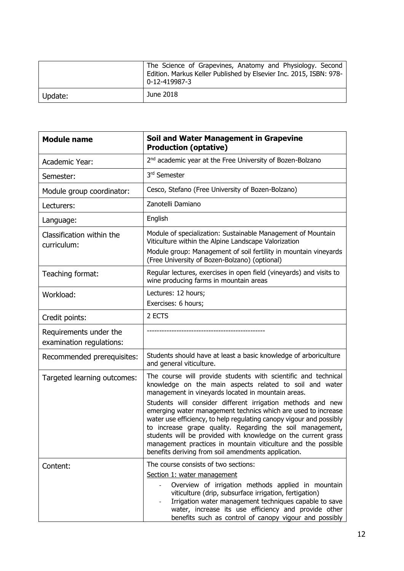|         | The Science of Grapevines, Anatomy and Physiology. Second<br>Edition. Markus Keller Published by Elsevier Inc. 2015, ISBN: 978-<br>$0-12-419987-3$ |
|---------|----------------------------------------------------------------------------------------------------------------------------------------------------|
| Update: | June 2018                                                                                                                                          |

<span id="page-11-0"></span>

| <b>Module name</b>                                 | Soil and Water Management in Grapevine<br><b>Production (optative)</b>                                                                                                                                                                                                                                                                                                                                                                                                                                                                                                                                                                       |
|----------------------------------------------------|----------------------------------------------------------------------------------------------------------------------------------------------------------------------------------------------------------------------------------------------------------------------------------------------------------------------------------------------------------------------------------------------------------------------------------------------------------------------------------------------------------------------------------------------------------------------------------------------------------------------------------------------|
| Academic Year:                                     | 2 <sup>nd</sup> academic year at the Free University of Bozen-Bolzano                                                                                                                                                                                                                                                                                                                                                                                                                                                                                                                                                                        |
| Semester:                                          | 3rd Semester                                                                                                                                                                                                                                                                                                                                                                                                                                                                                                                                                                                                                                 |
| Module group coordinator:                          | Cesco, Stefano (Free University of Bozen-Bolzano)                                                                                                                                                                                                                                                                                                                                                                                                                                                                                                                                                                                            |
| Lecturers:                                         | Zanotelli Damiano                                                                                                                                                                                                                                                                                                                                                                                                                                                                                                                                                                                                                            |
| Language:                                          | English                                                                                                                                                                                                                                                                                                                                                                                                                                                                                                                                                                                                                                      |
| Classification within the<br>curriculum:           | Module of specialization: Sustainable Management of Mountain<br>Viticulture within the Alpine Landscape Valorization<br>Module group: Management of soil fertility in mountain vineyards<br>(Free University of Bozen-Bolzano) (optional)                                                                                                                                                                                                                                                                                                                                                                                                    |
| Teaching format:                                   | Regular lectures, exercises in open field (vineyards) and visits to<br>wine producing farms in mountain areas                                                                                                                                                                                                                                                                                                                                                                                                                                                                                                                                |
| Workload:                                          | Lectures: 12 hours;<br>Exercises: 6 hours;                                                                                                                                                                                                                                                                                                                                                                                                                                                                                                                                                                                                   |
| Credit points:                                     | 2 ECTS                                                                                                                                                                                                                                                                                                                                                                                                                                                                                                                                                                                                                                       |
| Requirements under the<br>examination regulations: |                                                                                                                                                                                                                                                                                                                                                                                                                                                                                                                                                                                                                                              |
| Recommended prerequisites:                         | Students should have at least a basic knowledge of arboriculture<br>and general viticulture.                                                                                                                                                                                                                                                                                                                                                                                                                                                                                                                                                 |
| Targeted learning outcomes:                        | The course will provide students with scientific and technical<br>knowledge on the main aspects related to soil and water<br>management in vineyards located in mountain areas.<br>Students will consider different irrigation methods and new<br>emerging water management technics which are used to increase<br>water use efficiency, to help regulating canopy vigour and possibly<br>to increase grape quality. Regarding the soil management,<br>students will be provided with knowledge on the current grass<br>management practices in mountain viticulture and the possible<br>benefits deriving from soil amendments application. |
| Content:                                           | The course consists of two sections:<br>Section 1: water management<br>Overview of irrigation methods applied in mountain<br>viticulture (drip, subsurface irrigation, fertigation)<br>Irrigation water management techniques capable to save<br>water, increase its use efficiency and provide other<br>benefits such as control of canopy vigour and possibly                                                                                                                                                                                                                                                                              |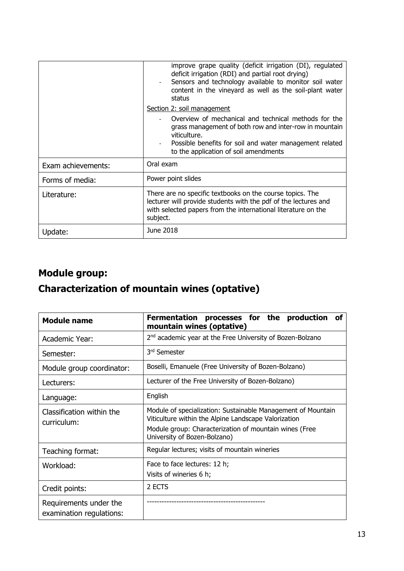|                    | improve grape quality (deficit irrigation (DI), regulated<br>deficit irrigation (RDI) and partial root drying)<br>Sensors and technology available to monitor soil water<br>content in the vineyard as well as the soil-plant water<br>status |
|--------------------|-----------------------------------------------------------------------------------------------------------------------------------------------------------------------------------------------------------------------------------------------|
|                    | Section 2: soil management                                                                                                                                                                                                                    |
|                    | Overview of mechanical and technical methods for the<br>grass management of both row and inter-row in mountain<br>viticulture.<br>Possible benefits for soil and water management related<br>to the application of soil amendments            |
| Exam achievements: | Oral exam                                                                                                                                                                                                                                     |
| Forms of media:    | Power point slides                                                                                                                                                                                                                            |
| Literature:        | There are no specific textbooks on the course topics. The<br>lecturer will provide students with the pdf of the lectures and<br>with selected papers from the international literature on the<br>subject.                                     |
| Update:            | June 2018                                                                                                                                                                                                                                     |

## **Module group:**

# <span id="page-12-0"></span>**Characterization of mountain wines (optative)**

<span id="page-12-1"></span>

| <b>Module name</b>                                 | Fermentation processes for the production<br>οf<br>mountain wines (optative)                                         |
|----------------------------------------------------|----------------------------------------------------------------------------------------------------------------------|
| Academic Year:                                     | 2 <sup>nd</sup> academic year at the Free University of Bozen-Bolzano                                                |
| Semester:                                          | 3rd Semester                                                                                                         |
| Module group coordinator:                          | Boselli, Emanuele (Free University of Bozen-Bolzano)                                                                 |
| Lecturers:                                         | Lecturer of the Free University of Bozen-Bolzano)                                                                    |
| Language:                                          | English                                                                                                              |
| Classification within the<br>curriculum:           | Module of specialization: Sustainable Management of Mountain<br>Viticulture within the Alpine Landscape Valorization |
|                                                    | Module group: Characterization of mountain wines (Free<br>University of Bozen-Bolzano)                               |
| Teaching format:                                   | Regular lectures; visits of mountain wineries                                                                        |
| Workload:                                          | Face to face lectures: 12 h;<br>Visits of wineries 6 h;                                                              |
| Credit points:                                     | 2 ECTS                                                                                                               |
| Requirements under the<br>examination regulations: |                                                                                                                      |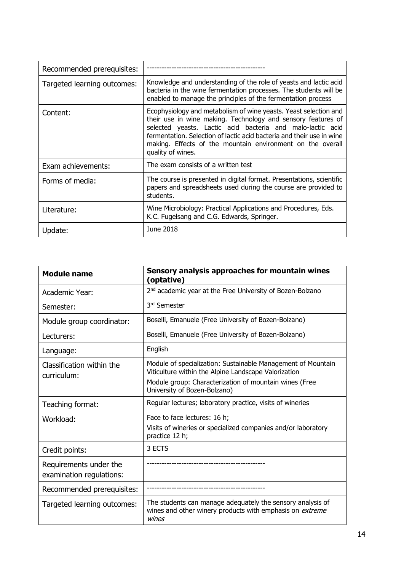| Recommended prerequisites:  |                                                                                                                                                                                                                                                                                                                                                            |
|-----------------------------|------------------------------------------------------------------------------------------------------------------------------------------------------------------------------------------------------------------------------------------------------------------------------------------------------------------------------------------------------------|
| Targeted learning outcomes: | Knowledge and understanding of the role of yeasts and lactic acid<br>bacteria in the wine fermentation processes. The students will be<br>enabled to manage the principles of the fermentation process                                                                                                                                                     |
| Content:                    | Ecophysiology and metabolism of wine yeasts. Yeast selection and<br>their use in wine making. Technology and sensory features of<br>selected yeasts. Lactic acid bacteria and malo-lactic acid<br>fermentation. Selection of lactic acid bacteria and their use in wine<br>making. Effects of the mountain environment on the overall<br>quality of wines. |
| Exam achievements:          | The exam consists of a written test                                                                                                                                                                                                                                                                                                                        |
| Forms of media:             | The course is presented in digital format. Presentations, scientific<br>papers and spreadsheets used during the course are provided to<br>students.                                                                                                                                                                                                        |
| Literature:                 | Wine Microbiology: Practical Applications and Procedures, Eds.<br>K.C. Fugelsang and C.G. Edwards, Springer.                                                                                                                                                                                                                                               |
| Update:                     | June 2018                                                                                                                                                                                                                                                                                                                                                  |

<span id="page-13-0"></span>

| <b>Module name</b>                                 | Sensory analysis approaches for mountain wines<br>(optative)                                                                                                                                                   |
|----------------------------------------------------|----------------------------------------------------------------------------------------------------------------------------------------------------------------------------------------------------------------|
| Academic Year:                                     | 2 <sup>nd</sup> academic year at the Free University of Bozen-Bolzano                                                                                                                                          |
| Semester:                                          | 3rd Semester                                                                                                                                                                                                   |
| Module group coordinator:                          | Boselli, Emanuele (Free University of Bozen-Bolzano)                                                                                                                                                           |
| Lecturers:                                         | Boselli, Emanuele (Free University of Bozen-Bolzano)                                                                                                                                                           |
| Language:                                          | English                                                                                                                                                                                                        |
| Classification within the<br>curriculum:           | Module of specialization: Sustainable Management of Mountain<br>Viticulture within the Alpine Landscape Valorization<br>Module group: Characterization of mountain wines (Free<br>University of Bozen-Bolzano) |
| Teaching format:                                   | Regular lectures; laboratory practice, visits of wineries                                                                                                                                                      |
| Workload:                                          | Face to face lectures: 16 h;<br>Visits of wineries or specialized companies and/or laboratory<br>practice 12 h;                                                                                                |
| Credit points:                                     | 3 ECTS                                                                                                                                                                                                         |
| Requirements under the<br>examination regulations: |                                                                                                                                                                                                                |
| Recommended prerequisites:                         |                                                                                                                                                                                                                |
| Targeted learning outcomes:                        | The students can manage adequately the sensory analysis of<br>wines and other winery products with emphasis on <i>extreme</i><br>wines                                                                         |